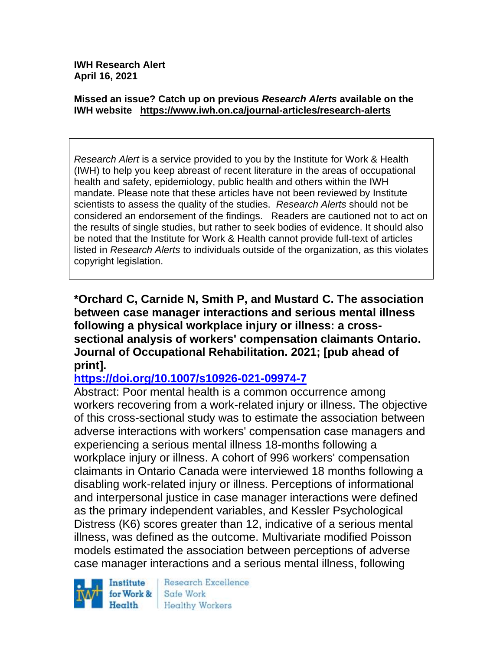**IWH Research Alert April 16, 2021**

#### **Missed an issue? Catch up on previous** *Research Alerts* **available on the [IWH website](http://www.iwh.on.ca/research-alerts) <https://www.iwh.on.ca/journal-articles/research-alerts>**

*Research Alert* is a service provided to you by the Institute for Work & Health (IWH) to help you keep abreast of recent literature in the areas of occupational health and safety, epidemiology, public health and others within the IWH mandate. Please note that these articles have not been reviewed by Institute scientists to assess the quality of the studies. *Research Alerts* should not be considered an endorsement of the findings. Readers are cautioned not to act on the results of single studies, but rather to seek bodies of evidence. It should also be noted that the Institute for Work & Health cannot provide full-text of articles listed in *Research Alerts* to individuals outside of the organization, as this violates copyright legislation.

**\*Orchard C, Carnide N, Smith P, and Mustard C. The association between case manager interactions and serious mental illness following a physical workplace injury or illness: a crosssectional analysis of workers' compensation claimants Ontario. Journal of Occupational Rehabilitation. 2021; [pub ahead of print].**

## **<https://doi.org/10.1007/s10926-021-09974-7>**

Abstract: Poor mental health is a common occurrence among workers recovering from a work-related injury or illness. The objective of this cross-sectional study was to estimate the association between adverse interactions with workers' compensation case managers and experiencing a serious mental illness 18-months following a workplace injury or illness. A cohort of 996 workers' compensation claimants in Ontario Canada were interviewed 18 months following a disabling work-related injury or illness. Perceptions of informational and interpersonal justice in case manager interactions were defined as the primary independent variables, and Kessler Psychological Distress (K6) scores greater than 12, indicative of a serious mental illness, was defined as the outcome. Multivariate modified Poisson models estimated the association between perceptions of adverse case manager interactions and a serious mental illness, following



Research Excellence Safe Work **Healthy Workers**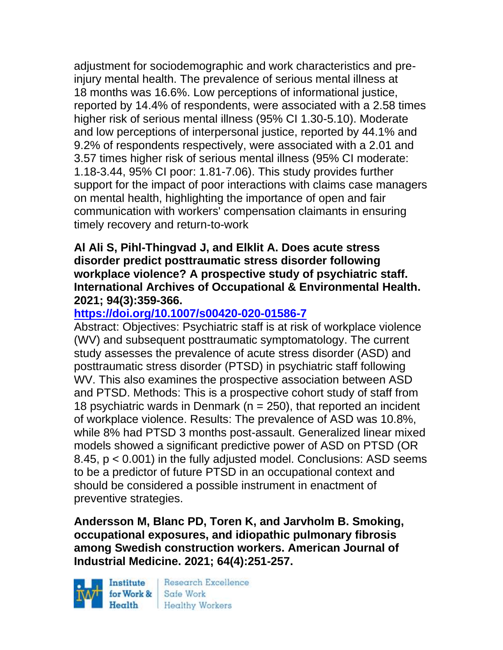adjustment for sociodemographic and work characteristics and preinjury mental health. The prevalence of serious mental illness at 18 months was 16.6%. Low perceptions of informational justice, reported by 14.4% of respondents, were associated with a 2.58 times higher risk of serious mental illness (95% CI 1.30-5.10). Moderate and low perceptions of interpersonal justice, reported by 44.1% and 9.2% of respondents respectively, were associated with a 2.01 and 3.57 times higher risk of serious mental illness (95% CI moderate: 1.18-3.44, 95% CI poor: 1.81-7.06). This study provides further support for the impact of poor interactions with claims case managers on mental health, highlighting the importance of open and fair communication with workers' compensation claimants in ensuring timely recovery and return-to-work

#### **Al Ali S, Pihl-Thingvad J, and Elklit A. Does acute stress disorder predict posttraumatic stress disorder following workplace violence? A prospective study of psychiatric staff. International Archives of Occupational & Environmental Health. 2021; 94(3):359-366.**

# **<https://doi.org/10.1007/s00420-020-01586-7>**

Abstract: Objectives: Psychiatric staff is at risk of workplace violence (WV) and subsequent posttraumatic symptomatology. The current study assesses the prevalence of acute stress disorder (ASD) and posttraumatic stress disorder (PTSD) in psychiatric staff following WV. This also examines the prospective association between ASD and PTSD. Methods: This is a prospective cohort study of staff from 18 psychiatric wards in Denmark ( $n = 250$ ), that reported an incident of workplace violence. Results: The prevalence of ASD was 10.8%, while 8% had PTSD 3 months post-assault. Generalized linear mixed models showed a significant predictive power of ASD on PTSD (OR 8.45, p < 0.001) in the fully adjusted model. Conclusions: ASD seems to be a predictor of future PTSD in an occupational context and should be considered a possible instrument in enactment of preventive strategies.

**Andersson M, Blanc PD, Toren K, and Jarvholm B. Smoking, occupational exposures, and idiopathic pulmonary fibrosis among Swedish construction workers. American Journal of Industrial Medicine. 2021; 64(4):251-257.** 

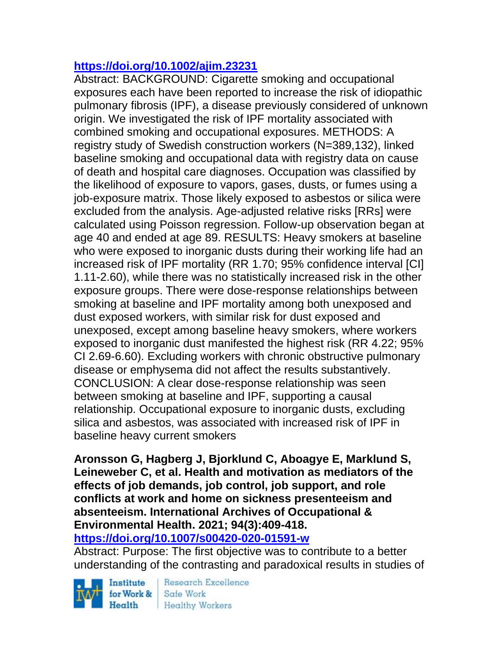## **<https://doi.org/10.1002/ajim.23231>**

Abstract: BACKGROUND: Cigarette smoking and occupational exposures each have been reported to increase the risk of idiopathic pulmonary fibrosis (IPF), a disease previously considered of unknown origin. We investigated the risk of IPF mortality associated with combined smoking and occupational exposures. METHODS: A registry study of Swedish construction workers (N=389,132), linked baseline smoking and occupational data with registry data on cause of death and hospital care diagnoses. Occupation was classified by the likelihood of exposure to vapors, gases, dusts, or fumes using a job-exposure matrix. Those likely exposed to asbestos or silica were excluded from the analysis. Age-adjusted relative risks [RRs] were calculated using Poisson regression. Follow-up observation began at age 40 and ended at age 89. RESULTS: Heavy smokers at baseline who were exposed to inorganic dusts during their working life had an increased risk of IPF mortality (RR 1.70; 95% confidence interval [CI] 1.11-2.60), while there was no statistically increased risk in the other exposure groups. There were dose-response relationships between smoking at baseline and IPF mortality among both unexposed and dust exposed workers, with similar risk for dust exposed and unexposed, except among baseline heavy smokers, where workers exposed to inorganic dust manifested the highest risk (RR 4.22; 95% CI 2.69-6.60). Excluding workers with chronic obstructive pulmonary disease or emphysema did not affect the results substantively. CONCLUSION: A clear dose-response relationship was seen between smoking at baseline and IPF, supporting a causal relationship. Occupational exposure to inorganic dusts, excluding silica and asbestos, was associated with increased risk of IPF in baseline heavy current smokers

### **Aronsson G, Hagberg J, Bjorklund C, Aboagye E, Marklund S, Leineweber C, et al. Health and motivation as mediators of the effects of job demands, job control, job support, and role conflicts at work and home on sickness presenteeism and absenteeism. International Archives of Occupational & Environmental Health. 2021; 94(3):409-418.**

**<https://doi.org/10.1007/s00420-020-01591-w>** 

Abstract: Purpose: The first objective was to contribute to a better understanding of the contrasting and paradoxical results in studies of

Institute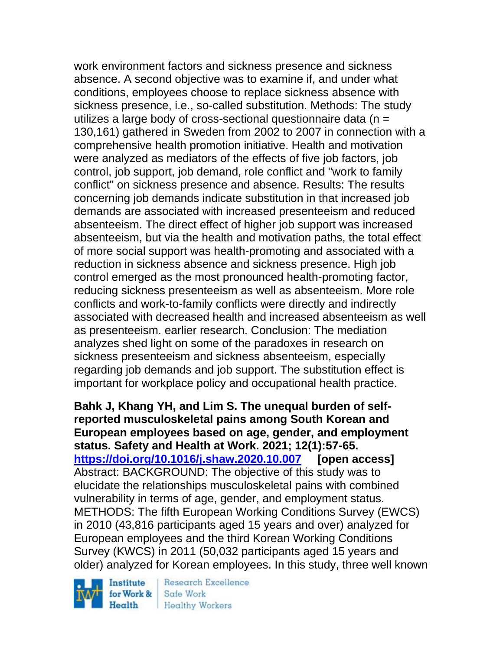work environment factors and sickness presence and sickness absence. A second objective was to examine if, and under what conditions, employees choose to replace sickness absence with sickness presence, i.e., so-called substitution. Methods: The study utilizes a large body of cross-sectional questionnaire data ( $n =$ 130,161) gathered in Sweden from 2002 to 2007 in connection with a comprehensive health promotion initiative. Health and motivation were analyzed as mediators of the effects of five job factors, job control, job support, job demand, role conflict and "work to family conflict" on sickness presence and absence. Results: The results concerning job demands indicate substitution in that increased job demands are associated with increased presenteeism and reduced absenteeism. The direct effect of higher job support was increased absenteeism, but via the health and motivation paths, the total effect of more social support was health-promoting and associated with a reduction in sickness absence and sickness presence. High job control emerged as the most pronounced health-promoting factor, reducing sickness presenteeism as well as absenteeism. More role conflicts and work-to-family conflicts were directly and indirectly associated with decreased health and increased absenteeism as well as presenteeism. earlier research. Conclusion: The mediation analyzes shed light on some of the paradoxes in research on sickness presenteeism and sickness absenteeism, especially regarding job demands and job support. The substitution effect is important for workplace policy and occupational health practice.

**Bahk J, Khang YH, and Lim S. The unequal burden of selfreported musculoskeletal pains among South Korean and European employees based on age, gender, and employment status. Safety and Health at Work. 2021; 12(1):57-65. <https://doi.org/10.1016/j.shaw.2020.10.007> [open access]** Abstract: BACKGROUND: The objective of this study was to elucidate the relationships musculoskeletal pains with combined vulnerability in terms of age, gender, and employment status. METHODS: The fifth European Working Conditions Survey (EWCS) in 2010 (43,816 participants aged 15 years and over) analyzed for European employees and the third Korean Working Conditions Survey (KWCS) in 2011 (50,032 participants aged 15 years and older) analyzed for Korean employees. In this study, three well known

Institute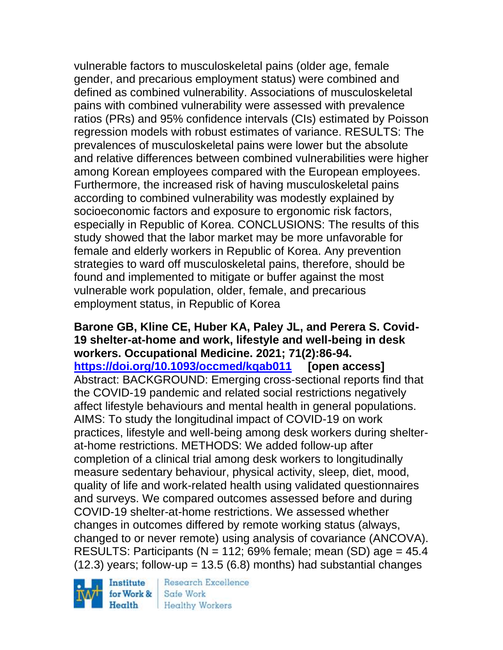vulnerable factors to musculoskeletal pains (older age, female gender, and precarious employment status) were combined and defined as combined vulnerability. Associations of musculoskeletal pains with combined vulnerability were assessed with prevalence ratios (PRs) and 95% confidence intervals (CIs) estimated by Poisson regression models with robust estimates of variance. RESULTS: The prevalences of musculoskeletal pains were lower but the absolute and relative differences between combined vulnerabilities were higher among Korean employees compared with the European employees. Furthermore, the increased risk of having musculoskeletal pains according to combined vulnerability was modestly explained by socioeconomic factors and exposure to ergonomic risk factors, especially in Republic of Korea. CONCLUSIONS: The results of this study showed that the labor market may be more unfavorable for female and elderly workers in Republic of Korea. Any prevention strategies to ward off musculoskeletal pains, therefore, should be found and implemented to mitigate or buffer against the most vulnerable work population, older, female, and precarious employment status, in Republic of Korea

**Barone GB, Kline CE, Huber KA, Paley JL, and Perera S. Covid-19 shelter-at-home and work, lifestyle and well-being in desk workers. Occupational Medicine. 2021; 71(2):86-94. <https://doi.org/10.1093/occmed/kqab011> [open access]** Abstract: BACKGROUND: Emerging cross-sectional reports find that the COVID-19 pandemic and related social restrictions negatively affect lifestyle behaviours and mental health in general populations. AIMS: To study the longitudinal impact of COVID-19 on work practices, lifestyle and well-being among desk workers during shelterat-home restrictions. METHODS: We added follow-up after completion of a clinical trial among desk workers to longitudinally measure sedentary behaviour, physical activity, sleep, diet, mood, quality of life and work-related health using validated questionnaires and surveys. We compared outcomes assessed before and during COVID-19 shelter-at-home restrictions. We assessed whether changes in outcomes differed by remote working status (always, changed to or never remote) using analysis of covariance (ANCOVA). RESULTS: Participants ( $N = 112$ ; 69% female; mean (SD) age  $= 45.4$  $(12.3)$  years; follow-up = 13.5 (6.8) months) had substantial changes

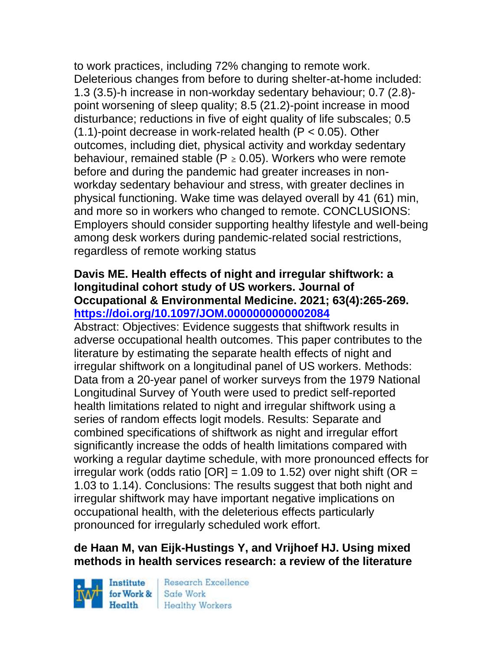to work practices, including 72% changing to remote work. Deleterious changes from before to during shelter-at-home included: 1.3 (3.5)-h increase in non-workday sedentary behaviour; 0.7 (2.8) point worsening of sleep quality; 8.5 (21.2)-point increase in mood disturbance; reductions in five of eight quality of life subscales; 0.5  $(1.1)$ -point decrease in work-related health  $(P < 0.05)$ . Other outcomes, including diet, physical activity and workday sedentary behaviour, remained stable ( $P \ge 0.05$ ). Workers who were remote before and during the pandemic had greater increases in nonworkday sedentary behaviour and stress, with greater declines in physical functioning. Wake time was delayed overall by 41 (61) min, and more so in workers who changed to remote. CONCLUSIONS: Employers should consider supporting healthy lifestyle and well-being among desk workers during pandemic-related social restrictions, regardless of remote working status

### **Davis ME. Health effects of night and irregular shiftwork: a longitudinal cohort study of US workers. Journal of Occupational & Environmental Medicine. 2021; 63(4):265-269. <https://doi.org/10.1097/JOM.0000000000002084>**

Abstract: Objectives: Evidence suggests that shiftwork results in adverse occupational health outcomes. This paper contributes to the literature by estimating the separate health effects of night and irregular shiftwork on a longitudinal panel of US workers. Methods: Data from a 20-year panel of worker surveys from the 1979 National Longitudinal Survey of Youth were used to predict self-reported health limitations related to night and irregular shiftwork using a series of random effects logit models. Results: Separate and combined specifications of shiftwork as night and irregular effort significantly increase the odds of health limitations compared with working a regular daytime schedule, with more pronounced effects for irregular work (odds ratio  $[OR] = 1.09$  to 1.52) over night shift (OR = 1.03 to 1.14). Conclusions: The results suggest that both night and irregular shiftwork may have important negative implications on occupational health, with the deleterious effects particularly pronounced for irregularly scheduled work effort.

## **de Haan M, van Eijk-Hustings Y, and Vrijhoef HJ. Using mixed methods in health services research: a review of the literature**

Institute Health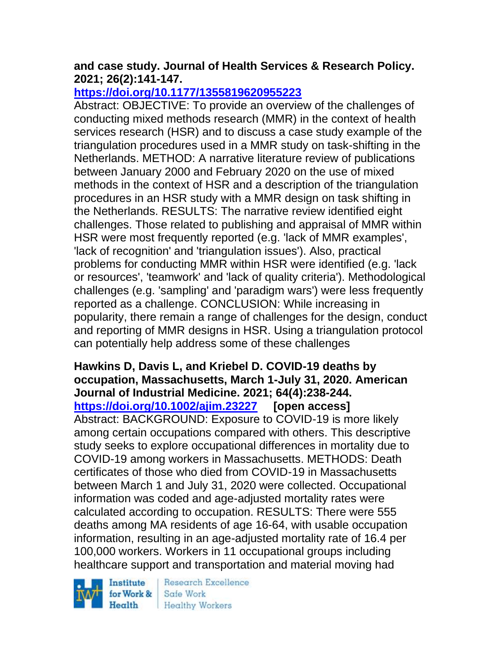### **and case study. Journal of Health Services & Research Policy. 2021; 26(2):141-147.**

## **<https://doi.org/10.1177/1355819620955223>**

Abstract: OBJECTIVE: To provide an overview of the challenges of conducting mixed methods research (MMR) in the context of health services research (HSR) and to discuss a case study example of the triangulation procedures used in a MMR study on task-shifting in the Netherlands. METHOD: A narrative literature review of publications between January 2000 and February 2020 on the use of mixed methods in the context of HSR and a description of the triangulation procedures in an HSR study with a MMR design on task shifting in the Netherlands. RESULTS: The narrative review identified eight challenges. Those related to publishing and appraisal of MMR within HSR were most frequently reported (e.g. 'lack of MMR examples', 'lack of recognition' and 'triangulation issues'). Also, practical problems for conducting MMR within HSR were identified (e.g. 'lack or resources', 'teamwork' and 'lack of quality criteria'). Methodological challenges (e.g. 'sampling' and 'paradigm wars') were less frequently reported as a challenge. CONCLUSION: While increasing in popularity, there remain a range of challenges for the design, conduct and reporting of MMR designs in HSR. Using a triangulation protocol can potentially help address some of these challenges

### **Hawkins D, Davis L, and Kriebel D. COVID-19 deaths by occupation, Massachusetts, March 1-July 31, 2020. American Journal of Industrial Medicine. 2021; 64(4):238-244. <https://doi.org/10.1002/ajim.23227> [open access]** Abstract: BACKGROUND: Exposure to COVID-19 is more likely among certain occupations compared with others. This descriptive study seeks to explore occupational differences in mortality due to COVID-19 among workers in Massachusetts. METHODS: Death certificates of those who died from COVID-19 in Massachusetts between March 1 and July 31, 2020 were collected. Occupational information was coded and age-adjusted mortality rates were calculated according to occupation. RESULTS: There were 555 deaths among MA residents of age 16-64, with usable occupation information, resulting in an age-adjusted mortality rate of 16.4 per 100,000 workers. Workers in 11 occupational groups including healthcare support and transportation and material moving had

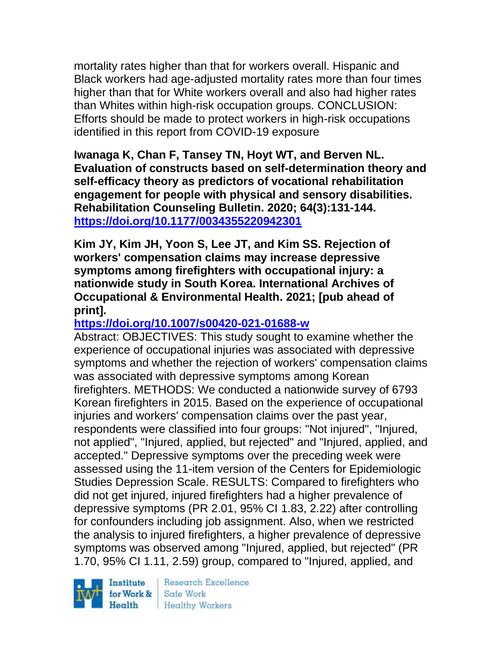mortality rates higher than that for workers overall. Hispanic and Black workers had age-adjusted mortality rates more than four times higher than that for White workers overall and also had higher rates than Whites within high-risk occupation groups. CONCLUSION: Efforts should be made to protect workers in high-risk occupations identified in this report from COVID-19 exposure

**Iwanaga K, Chan F, Tansey TN, Hoyt WT, and Berven NL. Evaluation of constructs based on self-determination theory and self-efficacy theory as predictors of vocational rehabilitation engagement for people with physical and sensory disabilities. Rehabilitation Counseling Bulletin. 2020; 64(3):131-144. <https://doi.org/10.1177/0034355220942301>** 

**Kim JY, Kim JH, Yoon S, Lee JT, and Kim SS. Rejection of workers' compensation claims may increase depressive symptoms among firefighters with occupational injury: a nationwide study in South Korea. International Archives of Occupational & Environmental Health. 2021; [pub ahead of print].**

## **<https://doi.org/10.1007/s00420-021-01688-w>**

Abstract: OBJECTIVES: This study sought to examine whether the experience of occupational injuries was associated with depressive symptoms and whether the rejection of workers' compensation claims was associated with depressive symptoms among Korean firefighters. METHODS: We conducted a nationwide survey of 6793 Korean firefighters in 2015. Based on the experience of occupational injuries and workers' compensation claims over the past year, respondents were classified into four groups: "Not injured", "Injured, not applied", "Injured, applied, but rejected" and "Injured, applied, and accepted." Depressive symptoms over the preceding week were assessed using the 11-item version of the Centers for Epidemiologic Studies Depression Scale. RESULTS: Compared to firefighters who did not get injured, injured firefighters had a higher prevalence of depressive symptoms (PR 2.01, 95% CI 1.83, 2.22) after controlling for confounders including job assignment. Also, when we restricted the analysis to injured firefighters, a higher prevalence of depressive symptoms was observed among "Injured, applied, but rejected" (PR 1.70, 95% CI 1.11, 2.59) group, compared to "Injured, applied, and

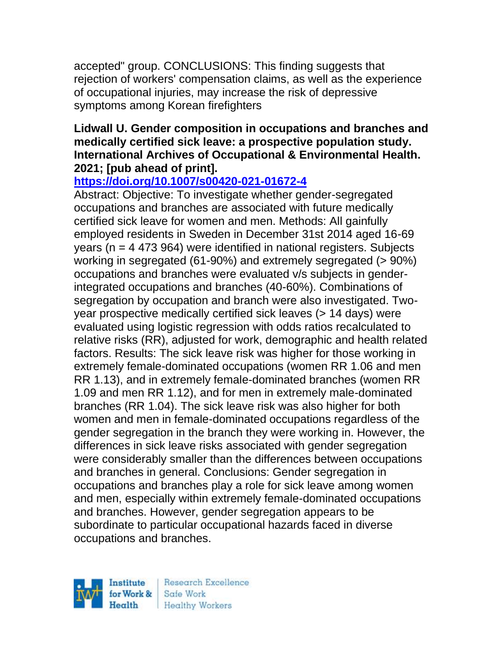accepted" group. CONCLUSIONS: This finding suggests that rejection of workers' compensation claims, as well as the experience of occupational injuries, may increase the risk of depressive symptoms among Korean firefighters

### **Lidwall U. Gender composition in occupations and branches and medically certified sick leave: a prospective population study. International Archives of Occupational & Environmental Health. 2021; [pub ahead of print].**

# **<https://doi.org/10.1007/s00420-021-01672-4>**

Abstract: Objective: To investigate whether gender-segregated occupations and branches are associated with future medically certified sick leave for women and men. Methods: All gainfully employed residents in Sweden in December 31st 2014 aged 16-69 years ( $n = 4$  473 964) were identified in national registers. Subjects working in segregated (61-90%) and extremely segregated (> 90%) occupations and branches were evaluated v/s subjects in genderintegrated occupations and branches (40-60%). Combinations of segregation by occupation and branch were also investigated. Twoyear prospective medically certified sick leaves (> 14 days) were evaluated using logistic regression with odds ratios recalculated to relative risks (RR), adjusted for work, demographic and health related factors. Results: The sick leave risk was higher for those working in extremely female-dominated occupations (women RR 1.06 and men RR 1.13), and in extremely female-dominated branches (women RR 1.09 and men RR 1.12), and for men in extremely male-dominated branches (RR 1.04). The sick leave risk was also higher for both women and men in female-dominated occupations regardless of the gender segregation in the branch they were working in. However, the differences in sick leave risks associated with gender segregation were considerably smaller than the differences between occupations and branches in general. Conclusions: Gender segregation in occupations and branches play a role for sick leave among women and men, especially within extremely female-dominated occupations and branches. However, gender segregation appears to be subordinate to particular occupational hazards faced in diverse occupations and branches.

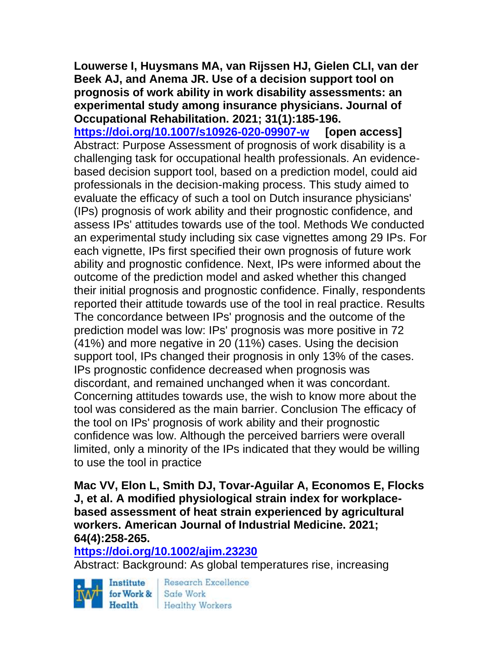**Louwerse I, Huysmans MA, van Rijssen HJ, Gielen CLI, van der Beek AJ, and Anema JR. Use of a decision support tool on prognosis of work ability in work disability assessments: an experimental study among insurance physicians. Journal of Occupational Rehabilitation. 2021; 31(1):185-196.** 

**<https://doi.org/10.1007/s10926-020-09907-w> [open access]** Abstract: Purpose Assessment of prognosis of work disability is a challenging task for occupational health professionals. An evidencebased decision support tool, based on a prediction model, could aid professionals in the decision-making process. This study aimed to evaluate the efficacy of such a tool on Dutch insurance physicians' (IPs) prognosis of work ability and their prognostic confidence, and assess IPs' attitudes towards use of the tool. Methods We conducted an experimental study including six case vignettes among 29 IPs. For each vignette, IPs first specified their own prognosis of future work ability and prognostic confidence. Next, IPs were informed about the outcome of the prediction model and asked whether this changed their initial prognosis and prognostic confidence. Finally, respondents reported their attitude towards use of the tool in real practice. Results The concordance between IPs' prognosis and the outcome of the prediction model was low: IPs' prognosis was more positive in 72 (41%) and more negative in 20 (11%) cases. Using the decision support tool, IPs changed their prognosis in only 13% of the cases. IPs prognostic confidence decreased when prognosis was discordant, and remained unchanged when it was concordant. Concerning attitudes towards use, the wish to know more about the tool was considered as the main barrier. Conclusion The efficacy of the tool on IPs' prognosis of work ability and their prognostic confidence was low. Although the perceived barriers were overall limited, only a minority of the IPs indicated that they would be willing to use the tool in practice

**Mac VV, Elon L, Smith DJ, Tovar-Aguilar A, Economos E, Flocks J, et al. A modified physiological strain index for workplacebased assessment of heat strain experienced by agricultural workers. American Journal of Industrial Medicine. 2021; 64(4):258-265.** 

#### **<https://doi.org/10.1002/ajim.23230>**

Abstract: Background: As global temperatures rise, increasing

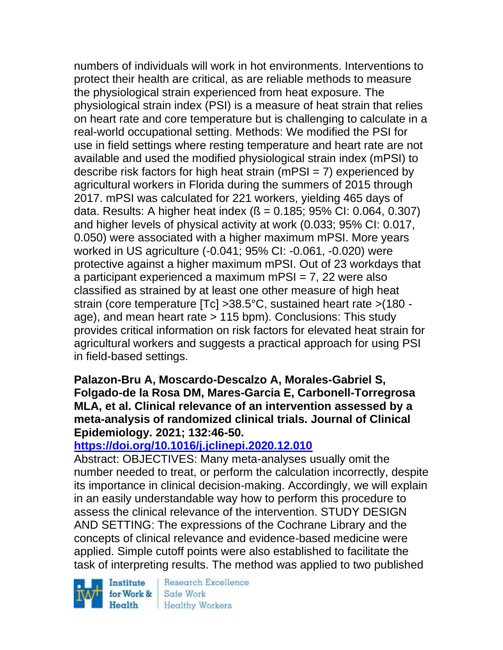numbers of individuals will work in hot environments. Interventions to protect their health are critical, as are reliable methods to measure the physiological strain experienced from heat exposure. The physiological strain index (PSI) is a measure of heat strain that relies on heart rate and core temperature but is challenging to calculate in a real-world occupational setting. Methods: We modified the PSI for use in field settings where resting temperature and heart rate are not available and used the modified physiological strain index (mPSI) to describe risk factors for high heat strain (mPSI =  $7$ ) experienced by agricultural workers in Florida during the summers of 2015 through 2017. mPSI was calculated for 221 workers, yielding 465 days of data. Results: A higher heat index  $(S = 0.185; 95\% \text{ Cl}: 0.064, 0.307)$ and higher levels of physical activity at work (0.033; 95% CI: 0.017, 0.050) were associated with a higher maximum mPSI. More years worked in US agriculture (-0.041; 95% CI: -0.061, -0.020) were protective against a higher maximum mPSI. Out of 23 workdays that a participant experienced a maximum mPSI = 7, 22 were also classified as strained by at least one other measure of high heat strain (core temperature [Tc] >38.5°C, sustained heart rate >(180 age), and mean heart rate > 115 bpm). Conclusions: This study provides critical information on risk factors for elevated heat strain for agricultural workers and suggests a practical approach for using PSI in field-based settings.

**Palazon-Bru A, Moscardo-Descalzo A, Morales-Gabriel S, Folgado-de la Rosa DM, Mares-Garcia E, Carbonell-Torregrosa MLA, et al. Clinical relevance of an intervention assessed by a meta-analysis of randomized clinical trials. Journal of Clinical Epidemiology. 2021; 132:46-50.** 

## **<https://doi.org/10.1016/j.jclinepi.2020.12.010>**

Abstract: OBJECTIVES: Many meta-analyses usually omit the number needed to treat, or perform the calculation incorrectly, despite its importance in clinical decision-making. Accordingly, we will explain in an easily understandable way how to perform this procedure to assess the clinical relevance of the intervention. STUDY DESIGN AND SETTING: The expressions of the Cochrane Library and the concepts of clinical relevance and evidence-based medicine were applied. Simple cutoff points were also established to facilitate the task of interpreting results. The method was applied to two published

Institute for Work & Health

Research Excellence Safe Work **Healthy Workers**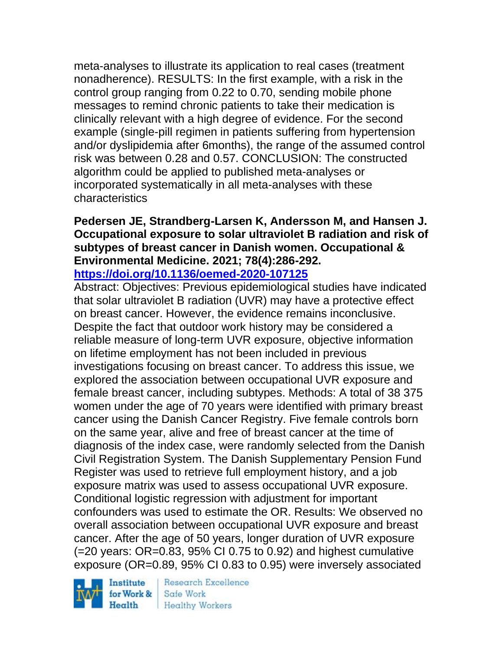meta-analyses to illustrate its application to real cases (treatment nonadherence). RESULTS: In the first example, with a risk in the control group ranging from 0.22 to 0.70, sending mobile phone messages to remind chronic patients to take their medication is clinically relevant with a high degree of evidence. For the second example (single-pill regimen in patients suffering from hypertension and/or dyslipidemia after 6months), the range of the assumed control risk was between 0.28 and 0.57. CONCLUSION: The constructed algorithm could be applied to published meta-analyses or incorporated systematically in all meta-analyses with these characteristics

#### **Pedersen JE, Strandberg-Larsen K, Andersson M, and Hansen J. Occupational exposure to solar ultraviolet B radiation and risk of subtypes of breast cancer in Danish women. Occupational & Environmental Medicine. 2021; 78(4):286-292. <https://doi.org/10.1136/oemed-2020-107125>**

Abstract: Objectives: Previous epidemiological studies have indicated that solar ultraviolet B radiation (UVR) may have a protective effect on breast cancer. However, the evidence remains inconclusive. Despite the fact that outdoor work history may be considered a reliable measure of long-term UVR exposure, objective information on lifetime employment has not been included in previous investigations focusing on breast cancer. To address this issue, we explored the association between occupational UVR exposure and female breast cancer, including subtypes. Methods: A total of 38 375 women under the age of 70 years were identified with primary breast cancer using the Danish Cancer Registry. Five female controls born on the same year, alive and free of breast cancer at the time of diagnosis of the index case, were randomly selected from the Danish Civil Registration System. The Danish Supplementary Pension Fund Register was used to retrieve full employment history, and a job exposure matrix was used to assess occupational UVR exposure. Conditional logistic regression with adjustment for important confounders was used to estimate the OR. Results: We observed no overall association between occupational UVR exposure and breast cancer. After the age of 50 years, longer duration of UVR exposure  $(=20 \text{ years}$ :  $OR=0.83$ , 95% CI 0.75 to 0.92) and highest cumulative exposure (OR=0.89, 95% CI 0.83 to 0.95) were inversely associated

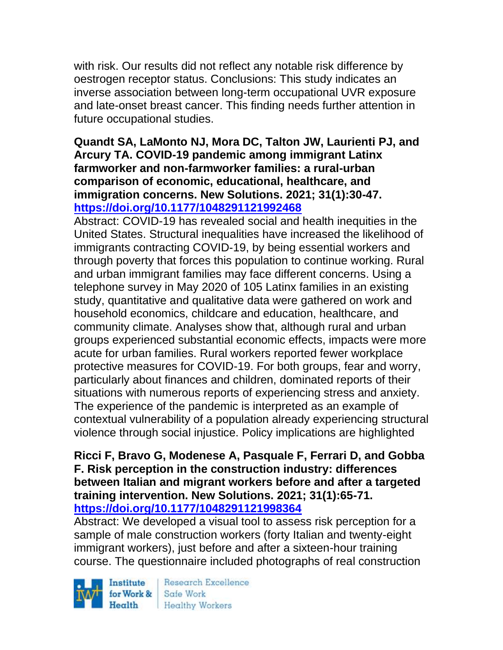with risk. Our results did not reflect any notable risk difference by oestrogen receptor status. Conclusions: This study indicates an inverse association between long-term occupational UVR exposure and late-onset breast cancer. This finding needs further attention in future occupational studies.

### **Quandt SA, LaMonto NJ, Mora DC, Talton JW, Laurienti PJ, and Arcury TA. COVID-19 pandemic among immigrant Latinx farmworker and non-farmworker families: a rural-urban comparison of economic, educational, healthcare, and immigration concerns. New Solutions. 2021; 31(1):30-47. <https://doi.org/10.1177/1048291121992468>**

Abstract: COVID-19 has revealed social and health inequities in the United States. Structural inequalities have increased the likelihood of immigrants contracting COVID-19, by being essential workers and through poverty that forces this population to continue working. Rural and urban immigrant families may face different concerns. Using a telephone survey in May 2020 of 105 Latinx families in an existing study, quantitative and qualitative data were gathered on work and household economics, childcare and education, healthcare, and community climate. Analyses show that, although rural and urban groups experienced substantial economic effects, impacts were more acute for urban families. Rural workers reported fewer workplace protective measures for COVID-19. For both groups, fear and worry, particularly about finances and children, dominated reports of their situations with numerous reports of experiencing stress and anxiety. The experience of the pandemic is interpreted as an example of contextual vulnerability of a population already experiencing structural violence through social injustice. Policy implications are highlighted

### **Ricci F, Bravo G, Modenese A, Pasquale F, Ferrari D, and Gobba F. Risk perception in the construction industry: differences between Italian and migrant workers before and after a targeted training intervention. New Solutions. 2021; 31(1):65-71. <https://doi.org/10.1177/1048291121998364>**

Abstract: We developed a visual tool to assess risk perception for a sample of male construction workers (forty Italian and twenty-eight immigrant workers), just before and after a sixteen-hour training course. The questionnaire included photographs of real construction

Institute Health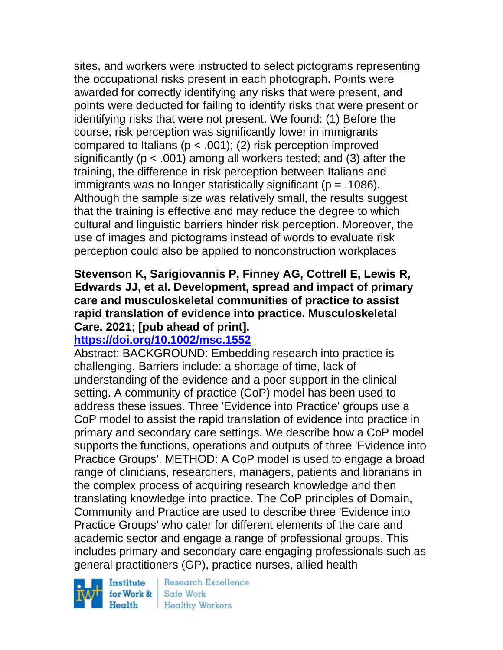sites, and workers were instructed to select pictograms representing the occupational risks present in each photograph. Points were awarded for correctly identifying any risks that were present, and points were deducted for failing to identify risks that were present or identifying risks that were not present. We found: (1) Before the course, risk perception was significantly lower in immigrants compared to Italians ( $p < .001$ ); (2) risk perception improved significantly ( $p < .001$ ) among all workers tested; and (3) after the training, the difference in risk perception between Italians and immigrants was no longer statistically significant ( $p = .1086$ ). Although the sample size was relatively small, the results suggest that the training is effective and may reduce the degree to which cultural and linguistic barriers hinder risk perception. Moreover, the use of images and pictograms instead of words to evaluate risk perception could also be applied to nonconstruction workplaces

## **Stevenson K, Sarigiovannis P, Finney AG, Cottrell E, Lewis R, Edwards JJ, et al. Development, spread and impact of primary care and musculoskeletal communities of practice to assist rapid translation of evidence into practice. Musculoskeletal Care. 2021; [pub ahead of print].**

## **<https://doi.org/10.1002/msc.1552>**

Abstract: BACKGROUND: Embedding research into practice is challenging. Barriers include: a shortage of time, lack of understanding of the evidence and a poor support in the clinical setting. A community of practice (CoP) model has been used to address these issues. Three 'Evidence into Practice' groups use a CoP model to assist the rapid translation of evidence into practice in primary and secondary care settings. We describe how a CoP model supports the functions, operations and outputs of three 'Evidence into Practice Groups'. METHOD: A CoP model is used to engage a broad range of clinicians, researchers, managers, patients and librarians in the complex process of acquiring research knowledge and then translating knowledge into practice. The CoP principles of Domain, Community and Practice are used to describe three 'Evidence into Practice Groups' who cater for different elements of the care and academic sector and engage a range of professional groups. This includes primary and secondary care engaging professionals such as general practitioners (GP), practice nurses, allied health

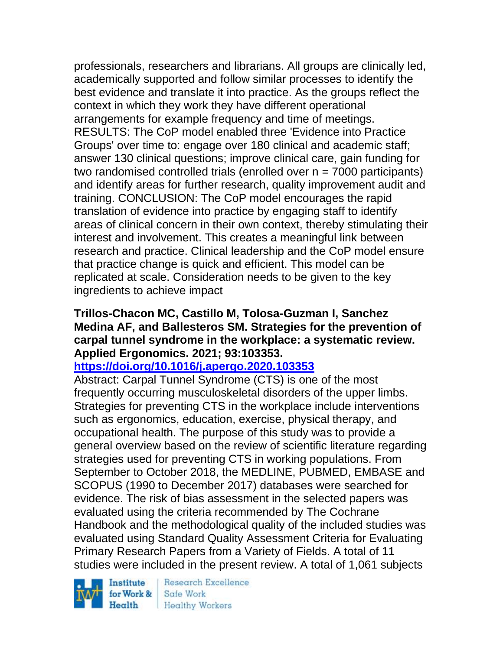professionals, researchers and librarians. All groups are clinically led, academically supported and follow similar processes to identify the best evidence and translate it into practice. As the groups reflect the context in which they work they have different operational arrangements for example frequency and time of meetings. RESULTS: The CoP model enabled three 'Evidence into Practice Groups' over time to: engage over 180 clinical and academic staff; answer 130 clinical questions; improve clinical care, gain funding for two randomised controlled trials (enrolled over  $n = 7000$  participants) and identify areas for further research, quality improvement audit and training. CONCLUSION: The CoP model encourages the rapid translation of evidence into practice by engaging staff to identify areas of clinical concern in their own context, thereby stimulating their interest and involvement. This creates a meaningful link between research and practice. Clinical leadership and the CoP model ensure that practice change is quick and efficient. This model can be replicated at scale. Consideration needs to be given to the key ingredients to achieve impact

#### **Trillos-Chacon MC, Castillo M, Tolosa-Guzman I, Sanchez Medina AF, and Ballesteros SM. Strategies for the prevention of carpal tunnel syndrome in the workplace: a systematic review. Applied Ergonomics. 2021; 93:103353.**

## **<https://doi.org/10.1016/j.apergo.2020.103353>**

Abstract: Carpal Tunnel Syndrome (CTS) is one of the most frequently occurring musculoskeletal disorders of the upper limbs. Strategies for preventing CTS in the workplace include interventions such as ergonomics, education, exercise, physical therapy, and occupational health. The purpose of this study was to provide a general overview based on the review of scientific literature regarding strategies used for preventing CTS in working populations. From September to October 2018, the MEDLINE, PUBMED, EMBASE and SCOPUS (1990 to December 2017) databases were searched for evidence. The risk of bias assessment in the selected papers was evaluated using the criteria recommended by The Cochrane Handbook and the methodological quality of the included studies was evaluated using Standard Quality Assessment Criteria for Evaluating Primary Research Papers from a Variety of Fields. A total of 11 studies were included in the present review. A total of 1,061 subjects